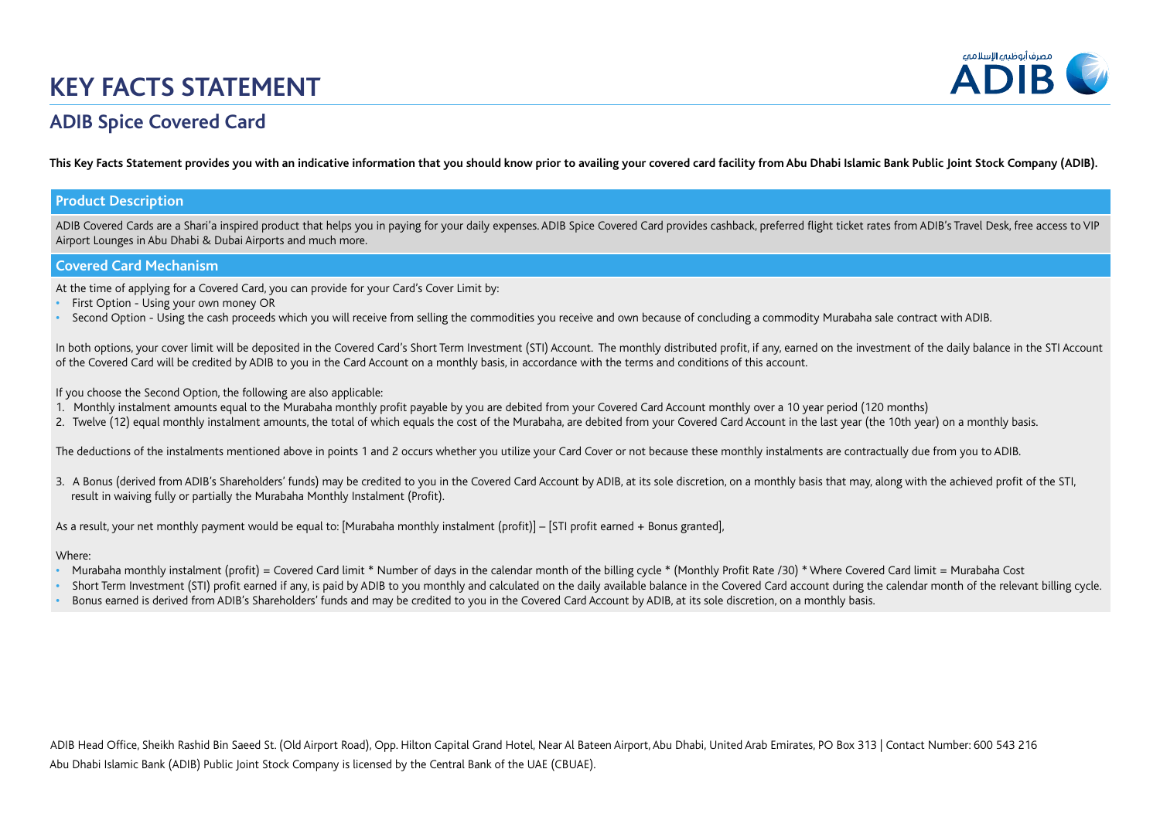# **KEY FACTS STATEMENT**



## **ADIB Spice Covered Card**

**This Key Facts Statement provides you with an indicative information that you should know prior to availing your covered card facility from Abu Dhabi Islamic Bank Public Joint Stock Company (ADIB).** 

#### **Product Description**

ADIB Covered Cards are a Shari'a inspired product that helps you in paying for your daily expenses. ADIB Spice Covered Card provides cashback, preferred flight ticket rates from ADIB's Travel Desk, free access to VIP Airport Lounges in Abu Dhabi & Dubai Airports and much more.

#### **Covered Card Mechanism**

At the time of applying for a Covered Card, you can provide for your Card's Cover Limit by:

- **•** First Option Using your own money OR
- Second Option Using the cash proceeds which you will receive from selling the commodities you receive and own because of concluding a commodity Murabaha sale contract with ADIB.

In both options, your cover limit will be deposited in the Covered Card's Short Term Investment (STI) Account. The monthly distributed profit, if any, earned on the investment of the daily balance in the STI Account of the Covered Card will be credited by ADIB to you in the Card Account on a monthly basis, in accordance with the terms and conditions of this account.

If you choose the Second Option, the following are also applicable:

- 1. Monthly instalment amounts equal to the Murabaha monthly profit payable by you are debited from your Covered Card Account monthly over a 10 year period (120 months)
- 2. Twelve (12) equal monthly instalment amounts, the total of which equals the cost of the Murabaha, are debited from your Covered Card Account in the last year (the 10th year) on a monthly basis.

The deductions of the instalments mentioned above in points 1 and 2 occurs whether you utilize your Card Cover or not because these monthly instalments are contractually due from you to ADIB.

3. A Bonus (derived from ADIB's Shareholders' funds) may be credited to you in the Covered Card Account by ADIB, at its sole discretion, on a monthly basis that may, along with the achieved profit of the STI, result in waiving fully or partially the Murabaha Monthly Instalment (Profit).

As a result, your net monthly payment would be equal to: [Murabaha monthly instalment (profit)] – [STI profit earned + Bonus granted],

#### Where:

- Murabaha monthly instalment (profit) = Covered Card limit \* Number of days in the calendar month of the billing cycle \* (Monthly Profit Rate /30) \* Where Covered Card limit = Murabaha Cost
- Short Term Investment (STI) profit earned if any, is paid by ADIB to you monthly and calculated on the daily available balance in the Covered Card account during the calendar month of the relevant billing cycle.
- **•** Bonus earned is derived from ADIB's Shareholders' funds and may be credited to you in the Covered Card Account by ADIB, at its sole discretion, on a monthly basis.

Abu Dhabi Islamic Bank (ADIB) Public Joint Stock Company is licensed by the Central Bank of the UAE (CBUAE). ADIB Head Office, Sheikh Rashid Bin Saeed St. (Old Airport Road), Opp. Hilton Capital Grand Hotel, Near Al Bateen Airport, Abu Dhabi, United Arab Emirates, PO Box 313 | Contact Number: 600 543 216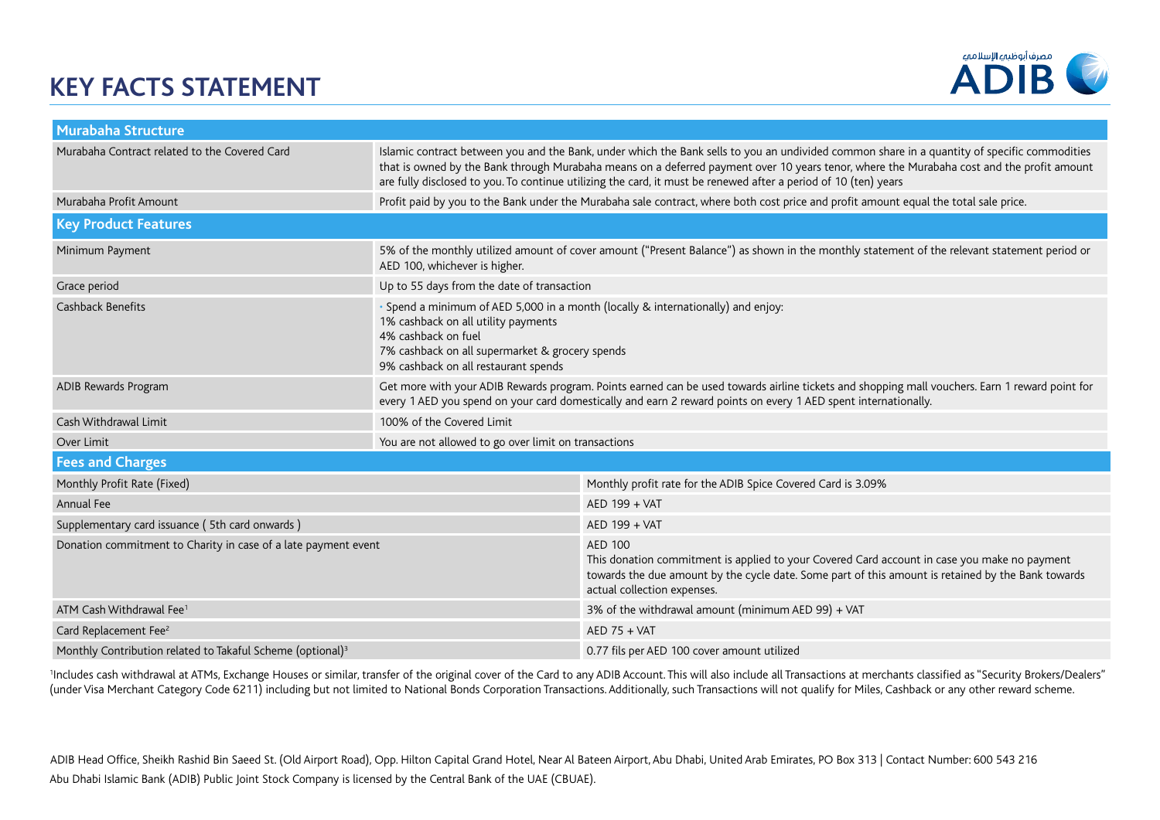# **KEY FACTS STATEMENT**



| <b>Murabaha Structure</b>                                              |                                                                                                                                                                                                                                                                  |                                                                                                                                                                                                                                                                                                                                                                                                              |  |  |  |
|------------------------------------------------------------------------|------------------------------------------------------------------------------------------------------------------------------------------------------------------------------------------------------------------------------------------------------------------|--------------------------------------------------------------------------------------------------------------------------------------------------------------------------------------------------------------------------------------------------------------------------------------------------------------------------------------------------------------------------------------------------------------|--|--|--|
| Murabaha Contract related to the Covered Card                          |                                                                                                                                                                                                                                                                  | Islamic contract between you and the Bank, under which the Bank sells to you an undivided common share in a quantity of specific commodities<br>that is owned by the Bank through Murabaha means on a deferred payment over 10 years tenor, where the Murabaha cost and the profit amount<br>are fully disclosed to you. To continue utilizing the card, it must be renewed after a period of 10 (ten) years |  |  |  |
| Murabaha Profit Amount                                                 |                                                                                                                                                                                                                                                                  | Profit paid by you to the Bank under the Murabaha sale contract, where both cost price and profit amount equal the total sale price.                                                                                                                                                                                                                                                                         |  |  |  |
| <b>Key Product Features</b>                                            |                                                                                                                                                                                                                                                                  |                                                                                                                                                                                                                                                                                                                                                                                                              |  |  |  |
| Minimum Payment                                                        | 5% of the monthly utilized amount of cover amount ("Present Balance") as shown in the monthly statement of the relevant statement period or<br>AED 100, whichever is higher.                                                                                     |                                                                                                                                                                                                                                                                                                                                                                                                              |  |  |  |
| Grace period                                                           | Up to 55 days from the date of transaction                                                                                                                                                                                                                       |                                                                                                                                                                                                                                                                                                                                                                                                              |  |  |  |
| <b>Cashback Benefits</b>                                               | • Spend a minimum of AED 5,000 in a month (locally & internationally) and enjoy:<br>1% cashback on all utility payments<br>4% cashback on fuel<br>7% cashback on all supermarket & grocery spends<br>9% cashback on all restaurant spends                        |                                                                                                                                                                                                                                                                                                                                                                                                              |  |  |  |
| ADIB Rewards Program                                                   | Get more with your ADIB Rewards program. Points earned can be used towards airline tickets and shopping mall vouchers. Earn 1 reward point for<br>every 1 AED you spend on your card domestically and earn 2 reward points on every 1 AED spent internationally. |                                                                                                                                                                                                                                                                                                                                                                                                              |  |  |  |
| Cash Withdrawal Limit                                                  | 100% of the Covered Limit                                                                                                                                                                                                                                        |                                                                                                                                                                                                                                                                                                                                                                                                              |  |  |  |
| Over Limit                                                             | You are not allowed to go over limit on transactions                                                                                                                                                                                                             |                                                                                                                                                                                                                                                                                                                                                                                                              |  |  |  |
| <b>Fees and Charges</b>                                                |                                                                                                                                                                                                                                                                  |                                                                                                                                                                                                                                                                                                                                                                                                              |  |  |  |
| Monthly Profit Rate (Fixed)                                            |                                                                                                                                                                                                                                                                  | Monthly profit rate for the ADIB Spice Covered Card is 3.09%                                                                                                                                                                                                                                                                                                                                                 |  |  |  |
| Annual Fee                                                             |                                                                                                                                                                                                                                                                  | AED 199 + VAT                                                                                                                                                                                                                                                                                                                                                                                                |  |  |  |
| Supplementary card issuance (5th card onwards)                         |                                                                                                                                                                                                                                                                  | AED 199 + VAT                                                                                                                                                                                                                                                                                                                                                                                                |  |  |  |
| Donation commitment to Charity in case of a late payment event         |                                                                                                                                                                                                                                                                  | <b>AED 100</b><br>This donation commitment is applied to your Covered Card account in case you make no payment<br>towards the due amount by the cycle date. Some part of this amount is retained by the Bank towards<br>actual collection expenses.                                                                                                                                                          |  |  |  |
| ATM Cash Withdrawal Fee <sup>1</sup>                                   |                                                                                                                                                                                                                                                                  | 3% of the withdrawal amount (minimum AED 99) + VAT                                                                                                                                                                                                                                                                                                                                                           |  |  |  |
| Card Replacement Fee <sup>2</sup>                                      |                                                                                                                                                                                                                                                                  | $AED$ 75 + VAT                                                                                                                                                                                                                                                                                                                                                                                               |  |  |  |
| Monthly Contribution related to Takaful Scheme (optional) <sup>3</sup> |                                                                                                                                                                                                                                                                  | 0.77 fils per AED 100 cover amount utilized                                                                                                                                                                                                                                                                                                                                                                  |  |  |  |

Includes cash withdrawal at ATMs, Exchange Houses or similar, transfer of the original cover of the Card to any ADIB Account. This will also include all Transactions at merchants classified as "Security Brokers/Dealers" (under Visa Merchant Category Code 6211) including but not limited to National Bonds Corporation Transactions. Additionally, such Transactions will not qualify for Miles, Cashback or any other reward scheme.

Abu Dhabi Islamic Bank (ADIB) Public Joint Stock Company is licensed by the Central Bank of the UAE (CBUAE). ADIB Head Office, Sheikh Rashid Bin Saeed St. (Old Airport Road), Opp. Hilton Capital Grand Hotel, Near Al Bateen Airport, Abu Dhabi, United Arab Emirates, PO Box 313 | Contact Number: 600 543 216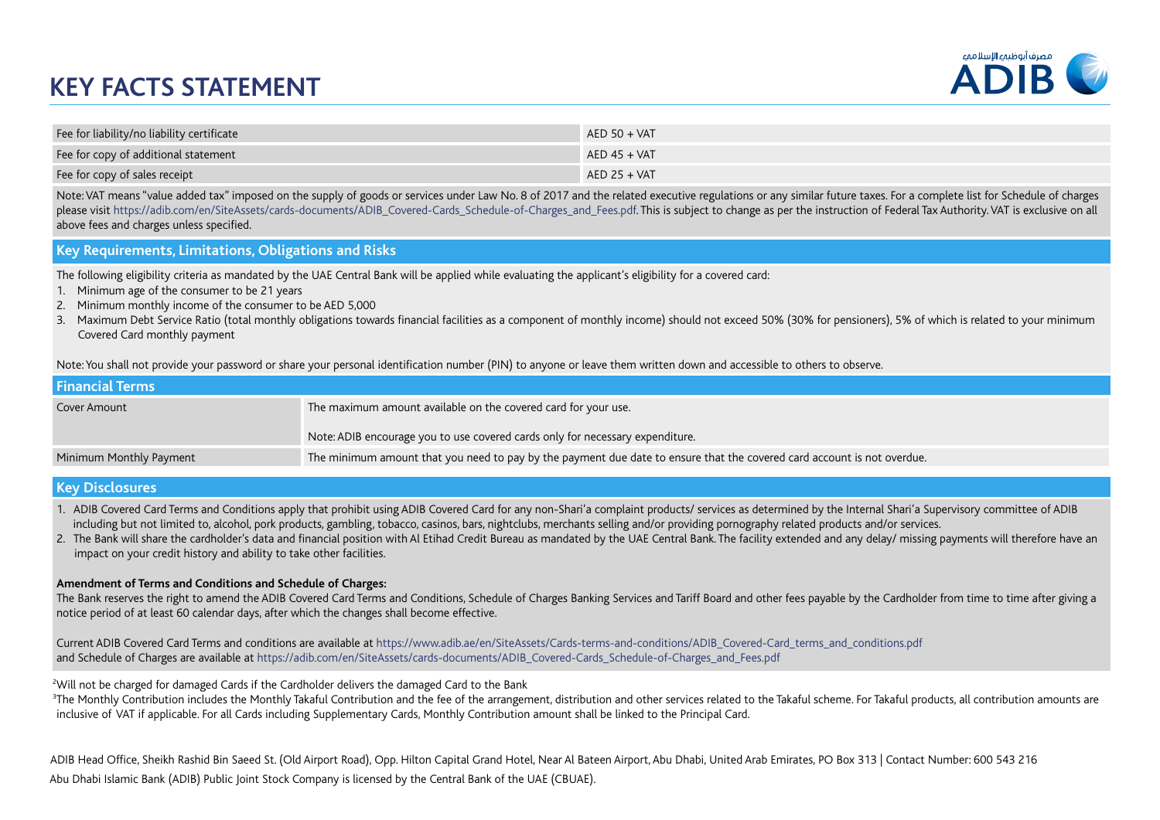# **KEY FACTS STATEMENT**



| Fee for liability/no liability certificate | $AED 50 + VAT$ |
|--------------------------------------------|----------------|
| Fee for copy of additional statement       | $AED 45 + VAT$ |
| Fee for copy of sales receipt              | $AED$ 25 + VAT |

Note: VAT means "value added tax" imposed on the supply of goods or services under Law No. 8 of 2017 and the related executive regulations or any similar future taxes. For a complete list for Schedule of charges please visit https://adib.com/en/SiteAssets/cards-documents/ADIB\_Covered-Cards\_Schedule-of-Charges\_and\_Fees.pdf. This is subject to change as per the instruction of Federal Tax Authority. VAT is exclusive on all above fees and charges unless specified.

#### **Key Requirements, Limitations, Obligations and Risks**

The following eligibility criteria as mandated by the UAE Central Bank will be applied while evaluating the applicant's eligibility for a covered card:

- 1. Minimum age of the consumer to be 21 years
- 2. Minimum monthly income of the consumer to be AED 5,000
- 3. Maximum Debt Service Ratio (total monthly obligations towards financial facilities as a component of monthly income) should not exceed 50% (30% for pensioners), 5% of which is related to your minimum Covered Card monthly payment

Note: You shall not provide your password or share your personal identification number (PIN) to anyone or leave them written down and accessible to others to observe.

| <b>Financial Terms</b>  |                                                                                                                         |
|-------------------------|-------------------------------------------------------------------------------------------------------------------------|
| Cover Amount            | The maximum amount available on the covered card for your use.                                                          |
|                         | Note: ADIB encourage you to use covered cards only for necessary expenditure.                                           |
| Minimum Monthly Payment | The minimum amount that you need to pay by the payment due date to ensure that the covered card account is not overdue. |
|                         |                                                                                                                         |

#### **Key Disclosures**

1. ADIB Covered Card Terms and Conditions apply that prohibit using ADIB Covered Card for any non-Shari'a complaint products/ services as determined by the Internal Shari'a Supervisory committee of ADIB including but not limited to, alcohol, pork products, gambling, tobacco, casinos, bars, nightclubs, merchants selling and/or providing pornography related products and/or services.

2. The Bank will share the cardholder's data and financial position with Al Etihad Credit Bureau as mandated by the UAE Central Bank. The facility extended and any delay/ missing payments will therefore have an impact on your credit history and ability to take other facilities.

#### **Amendment of Terms and Conditions and Schedule of Charges:**

The Bank reserves the right to amend the ADIB Covered Card Terms and Conditions, Schedule of Charges Banking Services and Tariff Board and other fees payable by the Cardholder from time to time after giving a notice period of at least 60 calendar days, after which the changes shall become effective.

Current ADIB Covered Card Terms and conditions are available at https://www.adib.ae/en/SiteAssets/Cards-terms-and-conditions/ADIB\_Covered-Card\_terms\_and\_conditions.pdf and Schedule of Charges are available at https://adib.com/en/SiteAssets/cards-documents/ADIB\_Covered-Cards\_Schedule-of-Charges\_and\_Fees.pdf

2 Will not be charged for damaged Cards if the Cardholder delivers the damaged Card to the Bank

 $^3$ The Monthly Contribution includes the Monthly Takaful Contribution and the fee of the arrangement, distribution and other services related to the Takaful scheme. For Takaful products, all contribution amounts are inclusive of VAT if applicable. For all Cards including Supplementary Cards, Monthly Contribution amount shall be linked to the Principal Card.

Abu Dhabi Islamic Bank (ADIB) Public Joint Stock Company is licensed by the Central Bank of the UAE (CBUAE). ADIB Head Office, Sheikh Rashid Bin Saeed St. (Old Airport Road), Opp. Hilton Capital Grand Hotel, Near Al Bateen Airport, Abu Dhabi, United Arab Emirates, PO Box 313 | Contact Number: 600 543 216